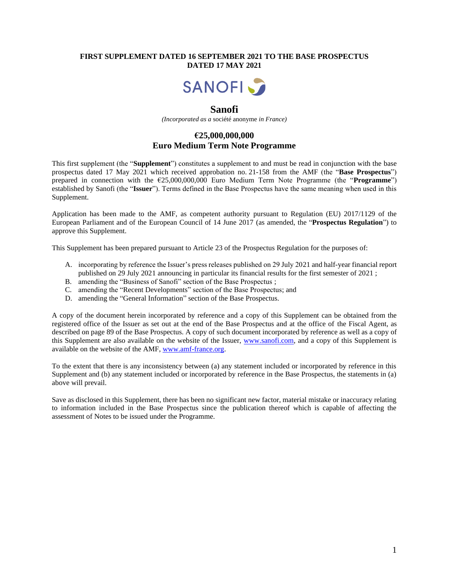### **FIRST SUPPLEMENT DATED 16 SEPTEMBER 2021 TO THE BASE PROSPECTUS DATED 17 MAY 2021**



## **Sanofi**

*(Incorporated as a* société anonyme *in France)*

## **€25,000,000,000 Euro Medium Term Note Programme**

This first supplement (the "**Supplement**") constitutes a supplement to and must be read in conjunction with the base prospectus dated 17 May 2021 which received approbation no. 21-158 from the AMF (the "**Base Prospectus**") prepared in connection with the €25,000,000,000 Euro Medium Term Note Programme (the "**Programme**") established by Sanofi (the "**Issuer**"). Terms defined in the Base Prospectus have the same meaning when used in this Supplement.

Application has been made to the AMF, as competent authority pursuant to Regulation (EU) 2017/1129 of the European Parliament and of the European Council of 14 June 2017 (as amended, the "**Prospectus Regulation**") to approve this Supplement.

This Supplement has been prepared pursuant to Article 23 of the Prospectus Regulation for the purposes of:

- A. incorporating by reference the Issuer's press releases published on 29 July 2021 and half-year financial report published on 29 July 2021 announcing in particular its financial results for the first semester of 2021 ;
- B. amending the "Business of Sanofi" section of the Base Prospectus ;
- C. amending the "Recent Developments" section of the Base Prospectus; and
- D. amending the "General Information" section of the Base Prospectus.

A copy of the document herein incorporated by reference and a copy of this Supplement can be obtained from the registered office of the Issuer as set out at the end of the Base Prospectus and at the office of the Fiscal Agent, as described on page 89 of the Base Prospectus. A copy of such document incorporated by reference as well as a copy of this Supplement are also available on the website of the Issuer, [www.sanofi.com,](http://www.sanofi.com/) and a copy of this Supplement is available on the website of the AMF, [www.amf-france.org.](http://www.amf-france.org/)

To the extent that there is any inconsistency between (a) any statement included or incorporated by reference in this Supplement and (b) any statement included or incorporated by reference in the Base Prospectus, the statements in (a) above will prevail.

Save as disclosed in this Supplement, there has been no significant new factor, material mistake or inaccuracy relating to information included in the Base Prospectus since the publication thereof which is capable of affecting the assessment of Notes to be issued under the Programme.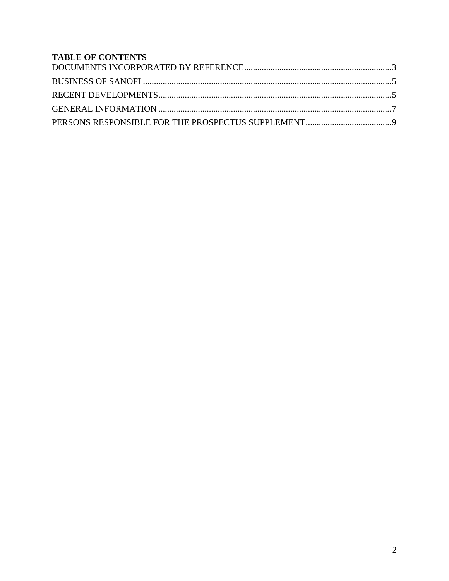# **TABLE OF CONTENTS**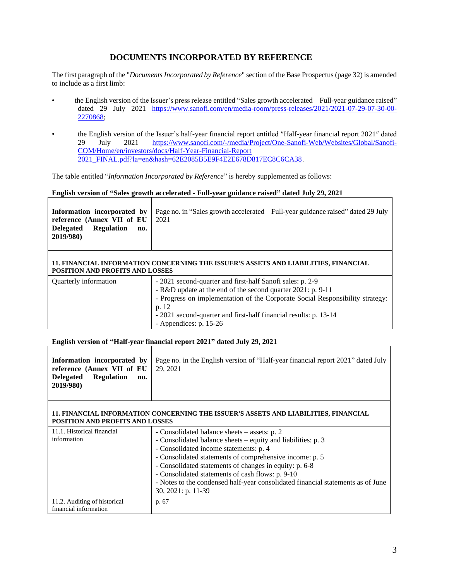## **DOCUMENTS INCORPORATED BY REFERENCE**

<span id="page-2-0"></span>The first paragraph of the "*DocumentsIncorporated by Reference*" section of the Base Prospectus (page 32) is amended to include as a first limb:

- the English version of the Issuer's press release entitled "Sales growth accelerated Full-year guidance raised" dated 29 July 2021 [https://www.sanofi.com/en/media-room/press-releases/2021/2021-07-29-07-30-00-](https://www.sanofi.com/en/media-room/press-releases/2021/2021-07-29-07-30-00-2270868) [2270868;](https://www.sanofi.com/en/media-room/press-releases/2021/2021-07-29-07-30-00-2270868)
- the English version of the Issuer's half-year financial report entitled ″Half-year financial report 2021″ dated 29 July 2021 [https://www.sanofi.com/-/media/Project/One-Sanofi-Web/Websites/Global/Sanofi-](https://www.sanofi.com/-/media/Project/One-Sanofi-Web/Websites/Global/Sanofi-COM/Home/en/investors/docs/Half-Year-Financial-Report%202021_FINAL.pdf?la=en&hash=62E2085B5E9F4E2E678D817EC8C6CA38)[COM/Home/en/investors/docs/Half-Year-Financial-Report](https://www.sanofi.com/-/media/Project/One-Sanofi-Web/Websites/Global/Sanofi-COM/Home/en/investors/docs/Half-Year-Financial-Report%202021_FINAL.pdf?la=en&hash=62E2085B5E9F4E2E678D817EC8C6CA38)  [2021\\_FINAL.pdf?la=en&hash=62E2085B5E9F4E2E678D817EC8C6CA38.](https://www.sanofi.com/-/media/Project/One-Sanofi-Web/Websites/Global/Sanofi-COM/Home/en/investors/docs/Half-Year-Financial-Report%202021_FINAL.pdf?la=en&hash=62E2085B5E9F4E2E678D817EC8C6CA38)

The table entitled "*Information Incorporated by Reference*" is hereby supplemented as follows:

#### **English version of "Sales growth accelerated - Full-year guidance raised" dated July 29, 2021**

| reference (Annex VII of EU $\vert$ 2021  | <b>Information incorporated by</b> $\vert$ Page no. in "Sales growth accelerated – Full-year guidance raised" dated 29 July |
|------------------------------------------|-----------------------------------------------------------------------------------------------------------------------------|
| Delegated Regulation<br>no.<br>2019/980) |                                                                                                                             |

#### **11. FINANCIAL INFORMATION CONCERNING THE ISSUER'S ASSETS AND LIABILITIES, FINANCIAL POSITION AND PROFITS AND LOSSES**

| Quarterly information | - 2021 second-quarter and first-half Sanofi sales: p. 2-9                     |
|-----------------------|-------------------------------------------------------------------------------|
|                       | - R&D update at the end of the second quarter 2021: p. 9-11                   |
|                       | - Progress on implementation of the Corporate Social Responsibility strategy: |
|                       | p. 12                                                                         |
|                       | - 2021 second-quarter and first-half financial results: p. 13-14              |
|                       | - Appendices: $p. 15-26$                                                      |

#### **English version of "Half-year financial report 2021" dated July 29, 2021**

#### **11. FINANCIAL INFORMATION CONCERNING THE ISSUER'S ASSETS AND LIABILITIES, FINANCIAL POSITION AND PROFITS AND LOSSES**

| 11.1. Historical financial<br>information             | - Consolidated balance sheets – assets: p. 2<br>- Consolidated balance sheets – equity and liabilities: p. 3<br>- Consolidated income statements: p. 4<br>- Consolidated statements of comprehensive income: p. 5<br>- Consolidated statements of changes in equity: p. 6-8<br>- Consolidated statements of cash flows: p. 9-10 |
|-------------------------------------------------------|---------------------------------------------------------------------------------------------------------------------------------------------------------------------------------------------------------------------------------------------------------------------------------------------------------------------------------|
|                                                       | - Notes to the condensed half-year consolidated financial statements as of June<br>30, 2021: p. 11-39                                                                                                                                                                                                                           |
| 11.2. Auditing of historical<br>financial information | p. 67                                                                                                                                                                                                                                                                                                                           |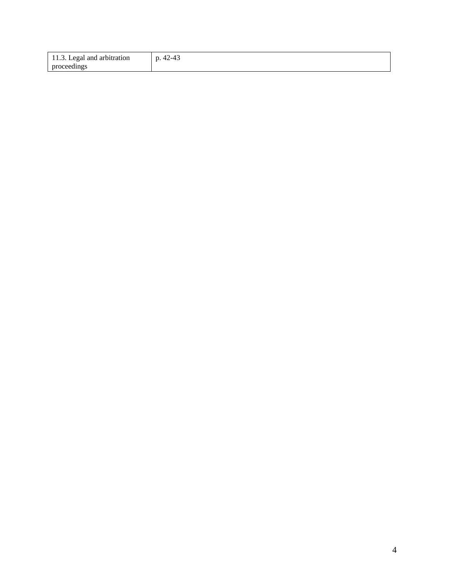| 11.3. Legal and arbitration |  |
|-----------------------------|--|
| proceedings                 |  |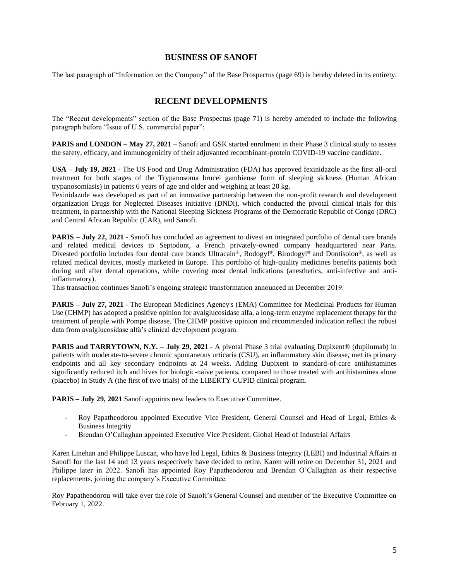### **BUSINESS OF SANOFI**

<span id="page-4-0"></span>The last paragraph of "Information on the Company" of the Base Prospectus (page 69) is hereby deleted in its entirety.

### **RECENT DEVELOPMENTS**

<span id="page-4-1"></span>The "Recent developments" section of the Base Prospectus (page 71) is hereby amended to include the following paragraph before "Issue of U.S. commercial paper":

**PARIS and LONDON – May 27, 2021** – Sanofi and GSK started enrolment in their Phase 3 clinical study to assess the safety, efficacy, and immunogenicity of their adjuvanted recombinant-protein COVID-19 vaccine candidate.

**USA – July 19, 2021** - The US Food and Drug Administration (FDA) has approved fexinidazole as the first all-oral treatment for both stages of the Trypanosoma brucei gambiense form of sleeping sickness (Human African trypanosomiasis) in patients 6 years of age and older and weighing at least 20 kg.

Fexinidazole was developed as part of an innovative partnership between the non-profit research and development organization Drugs for Neglected Diseases initiative (DNDi), which conducted the pivotal clinical trials for this treatment, in partnership with the National Sleeping Sickness Programs of the Democratic Republic of Congo (DRC) and Central African Republic (CAR), and Sanofi.

**PARIS – July 22, 2021** - Sanofi has concluded an agreement to divest an integrated portfolio of dental care brands and related medical devices to Septodont, a French privately-owned company headquartered near Paris. Divested portfolio includes four dental care brands Ultracain®, Rodogyl®, Birodogyl® and Dontisolon®, as well as related medical devices, mostly marketed in Europe. This portfolio of high-quality medicines benefits patients both during and after dental operations, while covering most dental indications (anesthetics, anti-infective and antiinflammatory).

This transaction continues Sanofi's ongoing strategic transformation announced in December 2019.

**PARIS – July 27, 2021** - The European Medicines Agency's (EMA) Committee for Medicinal Products for Human Use (CHMP) has adopted a positive opinion for avalglucosidase alfa, a long-term enzyme replacement therapy for the treatment of people with Pompe disease. The CHMP positive opinion and recommended indication reflect the robust data from avalglucosidase alfa's clinical development program.

**PARIS and TARRYTOWN, N.Y. – <b>July** 29, 2021 - A pivotal Phase 3 trial evaluating Dupixent® (dupilumab) in patients with moderate-to-severe chronic spontaneous urticaria (CSU), an inflammatory skin disease, met its primary endpoints and all key secondary endpoints at 24 weeks. Adding Dupixent to standard-of-care antihistamines significantly reduced itch and hives for biologic-naïve patients, compared to those treated with antihistamines alone (placebo) in Study A (the first of two trials) of the LIBERTY CUPID clinical program.

**PARIS – July 29, 2021** Sanofi appoints new leaders to Executive Committee.

- Roy Papatheodorou appointed Executive Vice President, General Counsel and Head of Legal, Ethics & Business Integrity
- Brendan O'Callaghan appointed Executive Vice President, Global Head of Industrial Affairs

Karen Linehan and Philippe Luscan, who have led Legal, Ethics & Business Integrity (LEBI) and Industrial Affairs at Sanofi for the last 14 and 13 years respectively have decided to retire. Karen will retire on December 31, 2021 and Philippe later in 2022. Sanofi has appointed Roy Papatheodorou and Brendan O'Callaghan as their respective replacements, joining the company's Executive Committee.

Roy Papatheodorou will take over the role of Sanofi's General Counsel and member of the Executive Committee on February 1, 2022.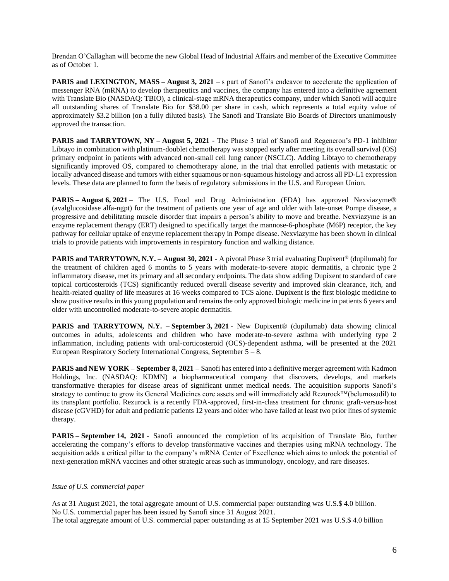Brendan O'Callaghan will become the new Global Head of Industrial Affairs and member of the Executive Committee as of October 1.

**PARIS and LEXINGTON, MASS – August 3, 2021 – s part of Sanofi's endeavor to accelerate the application of** messenger RNA (mRNA) to develop therapeutics and vaccines, the company has entered into a definitive agreement with Translate Bio (NASDAQ: TBIO), a clinical-stage mRNA therapeutics company, under which Sanofi will acquire all outstanding shares of Translate Bio for \$38.00 per share in cash, which represents a total equity value of approximately \$3.2 billion (on a fully diluted basis). The Sanofi and Translate Bio Boards of Directors unanimously approved the transaction.

**PARIS and TARRYTOWN, NY – August 5, 2021** - The Phase 3 trial of Sanofi and Regeneron's PD-1 inhibitor Libtayo in combination with platinum-doublet chemotherapy was stopped early after meeting its overall survival (OS) primary endpoint in patients with advanced non-small cell lung cancer (NSCLC). Adding Libtayo to chemotherapy significantly improved OS, compared to chemotherapy alone, in the trial that enrolled patients with metastatic or locally advanced disease and tumors with either squamous or non-squamous histology and across all PD-L1 expression levels. These data are planned to form the basis of regulatory submissions in the U.S. and European Union.

**PARIS – August 6, 2021** – The U.S. Food and Drug Administration (FDA) has approved Nexviazyme® (avalglucosidase alfa-ngpt) for the treatment of patients one year of age and older with late-onset Pompe disease, a progressive and debilitating muscle disorder that impairs a person's ability to move and breathe. Nexviazyme is an enzyme replacement therapy (ERT) designed to specifically target the mannose-6-phosphate (M6P) receptor, the key pathway for cellular uptake of enzyme replacement therapy in Pompe disease. Nexviazyme has been shown in clinical trials to provide patients with improvements in respiratory function and walking distance.

**PARIS and TARRYTOWN, N.Y. – August 30, 2021** - A pivotal Phase 3 trial evaluating Dupixent® (dupilumab) for the treatment of children aged 6 months to 5 years with moderate-to-severe atopic dermatitis, a chronic type 2 inflammatory disease, met its primary and all secondary endpoints. The data show adding Dupixent to standard of care topical corticosteroids (TCS) significantly reduced overall disease severity and improved skin clearance, itch, and health-related quality of life measures at 16 weeks compared to TCS alone. Dupixent is the first biologic medicine to show positive results in this young population and remains the only approved biologic medicine in patients 6 years and older with uncontrolled moderate-to-severe atopic dermatitis.

**PARIS and TARRYTOWN, N.Y. – September 3, 2021** - New Dupixent® (dupilumab) data showing clinical outcomes in adults, adolescents and children who have moderate-to-severe asthma with underlying type 2 inflammation, including patients with oral-corticosteroid (OCS)-dependent asthma, will be presented at the 2021 European Respiratory Society International Congress, September  $5 - 8$ .

**PARIS and NEW YORK – September 8, 2021 –** Sanofi has entered into a definitive merger agreement with Kadmon Holdings, Inc. (NASDAQ: KDMN) a biopharmaceutical company that discovers, develops, and markets transformative therapies for disease areas of significant unmet medical needs. The acquisition supports Sanofi's strategy to continue to grow its General Medicines core assets and will immediately add Rezurock™(belumosudil) to its transplant portfolio. Rezurock is a recently FDA-approved, first-in-class treatment for chronic graft-versus-host disease (cGVHD) for adult and pediatric patients 12 years and older who have failed at least two prior lines of systemic therapy.

**PARIS – September 14, 2021** - Sanofi announced the completion of its acquisition of Translate Bio, further accelerating the company's efforts to develop transformative vaccines and therapies using mRNA technology. The acquisition adds a critical pillar to the company's mRNA Center of Excellence which aims to unlock the potential of next-generation mRNA vaccines and other strategic areas such as immunology, oncology, and rare diseases.

#### *Issue of U.S. commercial paper*

As at 31 August 2021, the total aggregate amount of U.S. commercial paper outstanding was U.S.\$ 4.0 billion. No U.S. commercial paper has been issued by Sanofi since 31 August 2021. The total aggregate amount of U.S. commercial paper outstanding as at 15 September 2021 was U.S.\$ 4.0 billion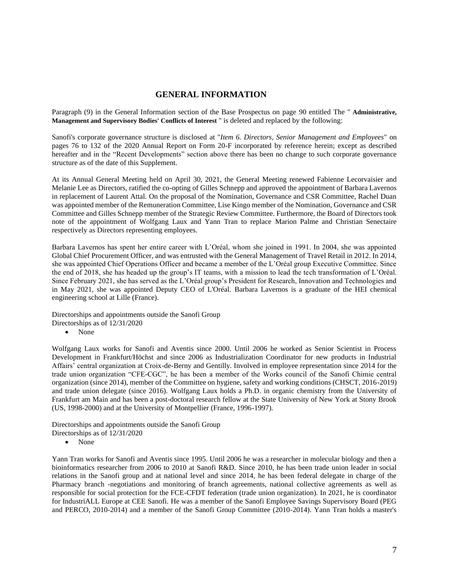### **GENERAL INFORMATION**

<span id="page-6-0"></span>Paragraph (9) in the General Information section of the Base Prospectus on page 90 entitled The " **Administrative, Management and Supervisory Bodies' Conflicts of Interest** " is deleted and replaced by the following:

Sanofi's corporate governance structure is disclosed at "*Item 6. Directors, Senior Management and Employees*" on pages 76 to 132 of the 2020 Annual Report on Form 20-F incorporated by reference herein; except as described hereafter and in the "Recent Developments" section above there has been no change to such corporate governance structure as of the date of this Supplement.

At its Annual General Meeting held on April 30, 2021, the General Meeting renewed Fabienne Lecorvaisier and Melanie Lee as Directors, ratified the co-opting of Gilles Schnepp and approved the appointment of Barbara Lavernos in replacement of Laurent Attal. On the proposal of the Nomination, Governance and CSR Committee, Rachel Duan was appointed member of the Remuneration Committee, Lise Kingo member of the Nomination, Governance and CSR Committee and Gilles Schnepp member of the Strategic Review Committee. Furthermore, the Board of Directors took note of the appointment of Wolfgang Laux and Yann Tran to replace Marion Palme and Christian Senectaire respectively as Directors representing employees.

Barbara Lavernos has spent her entire career with L'Oréal, whom she joined in 1991. In 2004, she was appointed Global Chief Procurement Officer, and was entrusted with the General Management of Travel Retail in 2012. In 2014, she was appointed Chief Operations Officer and became a member of the L'Oréal group Executive Committee. Since the end of 2018, she has headed up the group's IT teams, with a mission to lead the tech transformation of L'Oréal. Since February 2021, she has served as the L'Oréal group's President for Research, Innovation and Technologies and in May 2021, she was appointed Deputy CEO of L'Oréal. Barbara Lavernos is a graduate of the HEI chemical engineering school at Lille (France).

Directorships and appointments outside the Sanofi Group Directorships as of 12/31/2020

• None

Wolfgang Laux works for Sanofi and Aventis since 2000. Until 2006 he worked as Senior Scientist in Process Development in Frankfurt/Höchst and since 2006 as Industrialization Coordinator for new products in Industrial Affairs' central organization at Croix-de-Berny and Gentilly. Involved in employee representation since 2014 for the trade union organization "CFE-CGC", he has been a member of the Works council of the Sanofi Chimie central organization (since 2014), member of the Committee on hygiene, safety and working conditions (CHSCT, 2016-2019) and trade union delegate (since 2016). Wolfgang Laux holds a Ph.D. in organic chemistry from the University of Frankfurt am Main and has been a post-doctoral research fellow at the State University of New York at Stony Brook (US, 1998-2000) and at the University of Montpellier (France, 1996-1997).

Directorships and appointments outside the Sanofi Group Directorships as of 12/31/2020

• None

Yann Tran works for Sanofi and Aventis since 1995. Until 2006 he was a researcher in molecular biology and then a bioinformatics researcher from 2006 to 2010 at Sanofi R&D. Since 2010, he has been trade union leader in social relations in the Sanofi group and at national level and since 2014, he has been federal delegate in charge of the Pharmacy branch -negotiations and monitoring of branch agreements, national collective agreements as well as responsible for social protection for the FCE-CFDT federation (trade union organization). In 2021, he is coordinator for IndustriALL Europe at CEE Sanofi. He was a member of the Sanofi Employee Savings Supervisory Board (PEG and PERCO, 2010-2014) and a member of the Sanofi Group Committee (2010-2014). Yann Tran holds a master's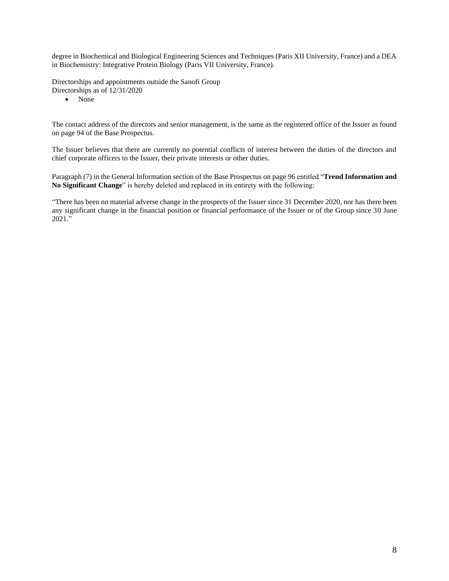degree in Biochemical and Biological Engineering Sciences and Techniques (Paris XII University, France) and a DEA in Biochemistry: Integrative Protein Biology (Paris VII University, France).

Directorships and appointments outside the Sanofi Group Directorships as of 12/31/2020

• None

The contact address of the directors and senior management, is the same as the registered office of the Issuer as found on page 94 of the Base Prospectus.

The Issuer believes that there are currently no potential conflicts of interest between the duties of the directors and chief corporate officers to the Issuer, their private interests or other duties.

Paragraph (7) in the General Information section of the Base Prospectus on page 96 entitled "**Trend Information and No Significant Change**" is hereby deleted and replaced in its entirety with the following:

"There has been no material adverse change in the prospects of the Issuer since 31 December 2020, nor has there been any significant change in the financial position or financial performance of the Issuer or of the Group since 30 June 2021."